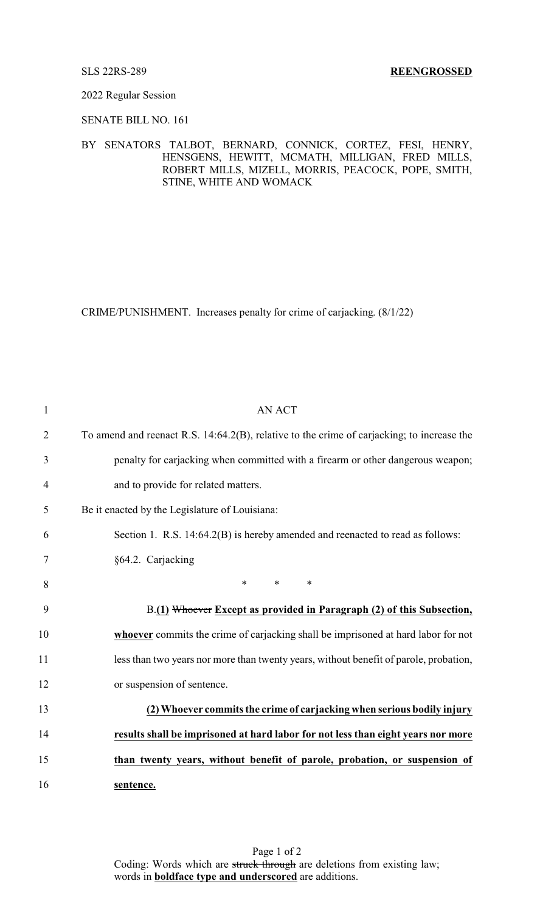### 2022 Regular Session

# SENATE BILL NO. 161

## BY SENATORS TALBOT, BERNARD, CONNICK, CORTEZ, FESI, HENRY, HENSGENS, HEWITT, MCMATH, MILLIGAN, FRED MILLS, ROBERT MILLS, MIZELL, MORRIS, PEACOCK, POPE, SMITH, STINE, WHITE AND WOMACK

CRIME/PUNISHMENT. Increases penalty for crime of carjacking. (8/1/22)

| $\mathbf{1}$   | <b>AN ACT</b>                                                                              |
|----------------|--------------------------------------------------------------------------------------------|
| $\overline{2}$ | To amend and reenact R.S. 14:64.2(B), relative to the crime of carjacking; to increase the |
| 3              | penalty for carjacking when committed with a firearm or other dangerous weapon;            |
| $\overline{4}$ | and to provide for related matters.                                                        |
| 5              | Be it enacted by the Legislature of Louisiana:                                             |
| 6              | Section 1. R.S. 14:64.2(B) is hereby amended and reenacted to read as follows:             |
| 7              | §64.2. Carjacking                                                                          |
| 8              | $\ast$<br>$*$ $*$<br>$\ast$                                                                |
| 9              | B.(1) Whoever Except as provided in Paragraph (2) of this Subsection,                      |
| 10             | whoever commits the crime of carjacking shall be imprisoned at hard labor for not          |
| 11             | less than two years nor more than twenty years, without benefit of parole, probation,      |
| 12             | or suspension of sentence.                                                                 |
| 13             | (2) Whoever commits the crime of carjacking when serious bodily injury                     |
| 14             | results shall be imprisoned at hard labor for not less than eight years nor more           |
| 15             | than twenty years, without benefit of parole, probation, or suspension of                  |
| 16             | sentence.                                                                                  |